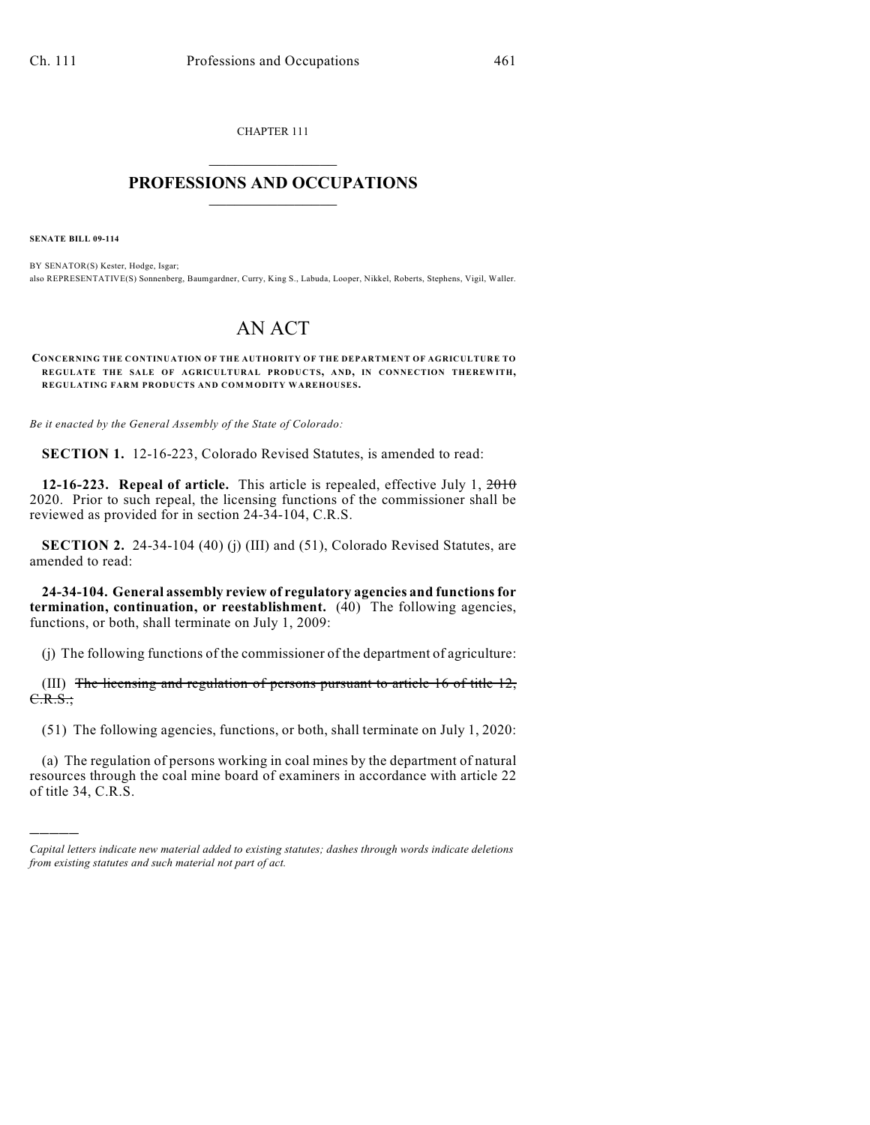CHAPTER 111  $\mathcal{L}_\text{max}$  . The set of the set of the set of the set of the set of the set of the set of the set of the set of the set of the set of the set of the set of the set of the set of the set of the set of the set of the set

## **PROFESSIONS AND OCCUPATIONS**  $\frac{1}{2}$  ,  $\frac{1}{2}$  ,  $\frac{1}{2}$  ,  $\frac{1}{2}$  ,  $\frac{1}{2}$  ,  $\frac{1}{2}$

**SENATE BILL 09-114**

)))))

BY SENATOR(S) Kester, Hodge, Isgar; also REPRESENTATIVE(S) Sonnenberg, Baumgardner, Curry, King S., Labuda, Looper, Nikkel, Roberts, Stephens, Vigil, Waller.

## AN ACT

**CONCERNING THE CONTINUATION OF THE AUTHORITY OF THE DEPARTMENT OF AGRICULTURE TO REGULATE THE SALE OF AGRICULTURAL PRODUCTS, AND, IN CONNECTION THEREWITH, REGULATING FARM PRODUCTS AND COMMODITY WAREHOUSES.**

*Be it enacted by the General Assembly of the State of Colorado:*

**SECTION 1.** 12-16-223, Colorado Revised Statutes, is amended to read:

**12-16-223. Repeal of article.** This article is repealed, effective July 1, 2010 2020. Prior to such repeal, the licensing functions of the commissioner shall be reviewed as provided for in section 24-34-104, C.R.S.

**SECTION 2.** 24-34-104 (40) (j) (III) and (51), Colorado Revised Statutes, are amended to read:

**24-34-104. General assembly review of regulatory agencies and functions for termination, continuation, or reestablishment.** (40) The following agencies, functions, or both, shall terminate on July 1, 2009:

(j) The following functions of the commissioner of the department of agriculture:

(III) The licensing and regulation of persons pursuant to article 16 of title 12, C.R.S.;

(51) The following agencies, functions, or both, shall terminate on July 1, 2020:

(a) The regulation of persons working in coal mines by the department of natural resources through the coal mine board of examiners in accordance with article 22 of title 34, C.R.S.

*Capital letters indicate new material added to existing statutes; dashes through words indicate deletions from existing statutes and such material not part of act.*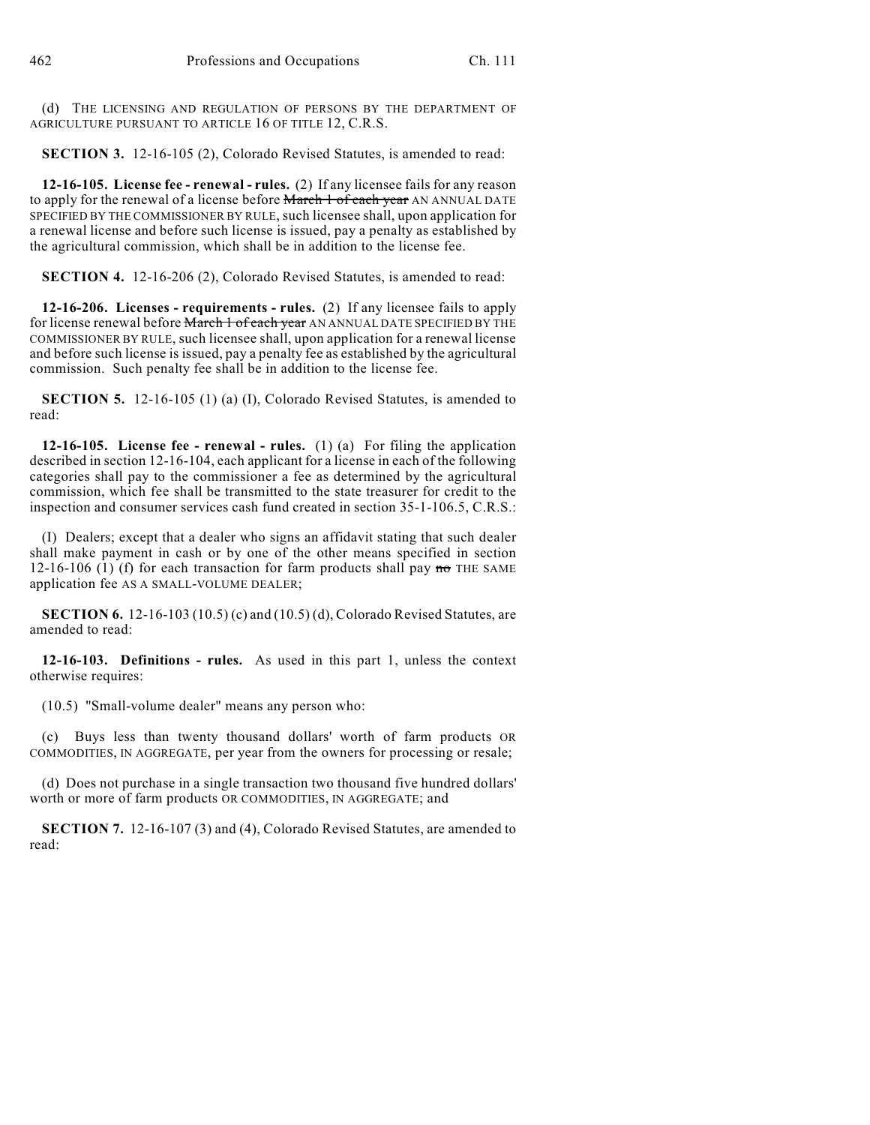(d) THE LICENSING AND REGULATION OF PERSONS BY THE DEPARTMENT OF AGRICULTURE PURSUANT TO ARTICLE 16 OF TITLE 12, C.R.S.

**SECTION 3.** 12-16-105 (2), Colorado Revised Statutes, is amended to read:

**12-16-105. License fee - renewal - rules.** (2) If any licensee fails for any reason to apply for the renewal of a license before March 1 of each year AN ANNUAL DATE SPECIFIED BY THE COMMISSIONER BY RULE, such licensee shall, upon application for a renewal license and before such license is issued, pay a penalty as established by the agricultural commission, which shall be in addition to the license fee.

**SECTION 4.** 12-16-206 (2), Colorado Revised Statutes, is amended to read:

**12-16-206. Licenses - requirements - rules.** (2) If any licensee fails to apply for license renewal before March 1 of each year AN ANNUAL DATE SPECIFIED BY THE COMMISSIONER BY RULE, such licensee shall, upon application for a renewal license and before such license is issued, pay a penalty fee as established by the agricultural commission. Such penalty fee shall be in addition to the license fee.

**SECTION 5.** 12-16-105 (1) (a) (I), Colorado Revised Statutes, is amended to read:

**12-16-105. License fee - renewal - rules.** (1) (a) For filing the application described in section 12-16-104, each applicant for a license in each of the following categories shall pay to the commissioner a fee as determined by the agricultural commission, which fee shall be transmitted to the state treasurer for credit to the inspection and consumer services cash fund created in section 35-1-106.5, C.R.S.:

(I) Dealers; except that a dealer who signs an affidavit stating that such dealer shall make payment in cash or by one of the other means specified in section 12-16-106 (1) (f) for each transaction for farm products shall pay  $\pi\sigma$  THE SAME application fee AS A SMALL-VOLUME DEALER;

**SECTION 6.** 12-16-103 (10.5) (c) and (10.5) (d), Colorado Revised Statutes, are amended to read:

**12-16-103. Definitions - rules.** As used in this part 1, unless the context otherwise requires:

(10.5) "Small-volume dealer" means any person who:

(c) Buys less than twenty thousand dollars' worth of farm products OR COMMODITIES, IN AGGREGATE, per year from the owners for processing or resale;

(d) Does not purchase in a single transaction two thousand five hundred dollars' worth or more of farm products OR COMMODITIES, IN AGGREGATE; and

**SECTION 7.** 12-16-107 (3) and (4), Colorado Revised Statutes, are amended to read: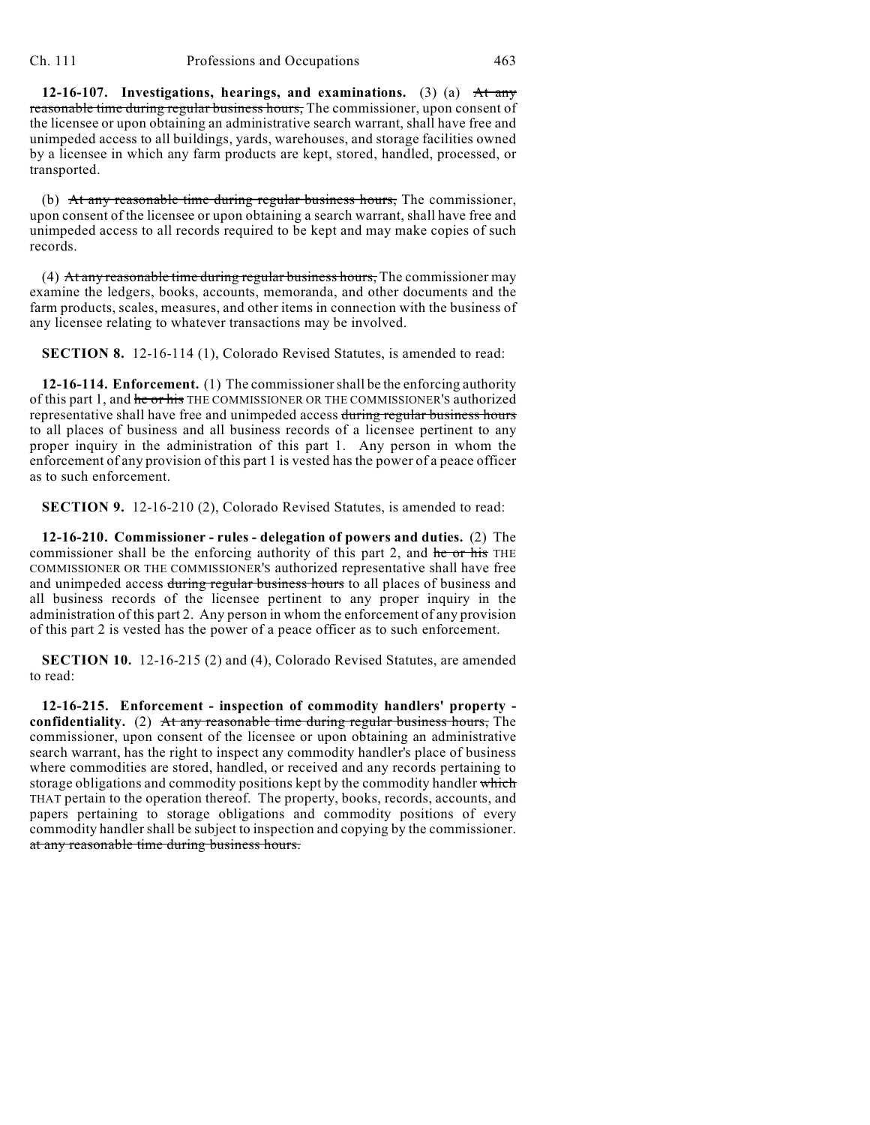**12-16-107. Investigations, hearings, and examinations.** (3) (a) At any reasonable time during regular business hours, The commissioner, upon consent of the licensee or upon obtaining an administrative search warrant, shall have free and unimpeded access to all buildings, yards, warehouses, and storage facilities owned by a licensee in which any farm products are kept, stored, handled, processed, or transported.

(b) At any reasonable time during regular business hours, The commissioner, upon consent of the licensee or upon obtaining a search warrant, shall have free and unimpeded access to all records required to be kept and may make copies of such records.

(4) At any reasonable time during regular business hours, The commissioner may examine the ledgers, books, accounts, memoranda, and other documents and the farm products, scales, measures, and other items in connection with the business of any licensee relating to whatever transactions may be involved.

**SECTION 8.** 12-16-114 (1), Colorado Revised Statutes, is amended to read:

**12-16-114. Enforcement.** (1) The commissioner shall be the enforcing authority of this part 1, and he or his THE COMMISSIONER OR THE COMMISSIONER'S authorized representative shall have free and unimpeded access during regular business hours to all places of business and all business records of a licensee pertinent to any proper inquiry in the administration of this part 1. Any person in whom the enforcement of any provision of this part 1 is vested has the power of a peace officer as to such enforcement.

**SECTION 9.** 12-16-210 (2), Colorado Revised Statutes, is amended to read:

**12-16-210. Commissioner - rules - delegation of powers and duties.** (2) The commissioner shall be the enforcing authority of this part 2, and he or his THE COMMISSIONER OR THE COMMISSIONER'S authorized representative shall have free and unimpeded access during regular business hours to all places of business and all business records of the licensee pertinent to any proper inquiry in the administration of this part 2. Any person in whom the enforcement of any provision of this part 2 is vested has the power of a peace officer as to such enforcement.

**SECTION 10.** 12-16-215 (2) and (4), Colorado Revised Statutes, are amended to read:

**12-16-215. Enforcement - inspection of commodity handlers' property confidentiality.** (2) At any reasonable time during regular business hours, The commissioner, upon consent of the licensee or upon obtaining an administrative search warrant, has the right to inspect any commodity handler's place of business where commodities are stored, handled, or received and any records pertaining to storage obligations and commodity positions kept by the commodity handler which THAT pertain to the operation thereof. The property, books, records, accounts, and papers pertaining to storage obligations and commodity positions of every commodity handler shall be subject to inspection and copying by the commissioner. at any reasonable time during business hours.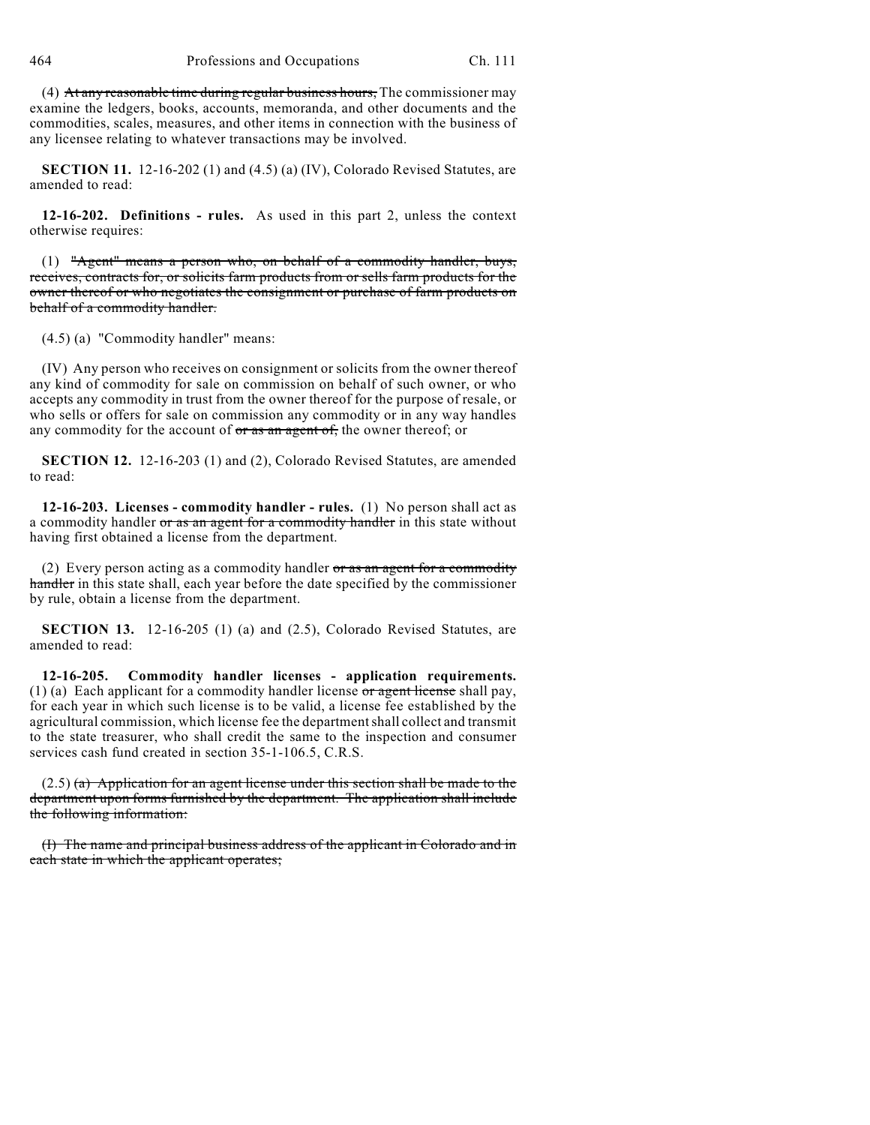(4) At any reasonable time during regular business hours, The commissioner may examine the ledgers, books, accounts, memoranda, and other documents and the commodities, scales, measures, and other items in connection with the business of any licensee relating to whatever transactions may be involved.

**SECTION 11.** 12-16-202 (1) and (4.5) (a) (IV), Colorado Revised Statutes, are amended to read:

**12-16-202. Definitions - rules.** As used in this part 2, unless the context otherwise requires:

(1) "Agent" means a person who, on behalf of a commodity handler, buys, receives, contracts for, or solicits farm products from or sells farm products for the owner thereof or who negotiates the consignment or purchase of farm products on behalf of a commodity handler.

(4.5) (a) "Commodity handler" means:

(IV) Any person who receives on consignment or solicits from the owner thereof any kind of commodity for sale on commission on behalf of such owner, or who accepts any commodity in trust from the owner thereof for the purpose of resale, or who sells or offers for sale on commission any commodity or in any way handles any commodity for the account of  $\sigma r$  as an agent of, the owner thereof; or

**SECTION 12.** 12-16-203 (1) and (2), Colorado Revised Statutes, are amended to read:

**12-16-203. Licenses - commodity handler - rules.** (1) No person shall act as a commodity handler or as an agent for a commodity handler in this state without having first obtained a license from the department.

(2) Every person acting as a commodity handler  $\sigma r$  as an agent for a commodity handler in this state shall, each year before the date specified by the commissioner by rule, obtain a license from the department.

**SECTION 13.** 12-16-205 (1) (a) and (2.5), Colorado Revised Statutes, are amended to read:

**12-16-205. Commodity handler licenses - application requirements.** (1) (a) Each applicant for a commodity handler license  $\sigma r$  agent license shall pay, for each year in which such license is to be valid, a license fee established by the agricultural commission, which license fee the department shall collect and transmit to the state treasurer, who shall credit the same to the inspection and consumer services cash fund created in section 35-1-106.5, C.R.S.

 $(2.5)$  (a) Application for an agent license under this section shall be made to the department upon forms furnished by the department. The application shall include the following information:

(I) The name and principal business address of the applicant in Colorado and in each state in which the applicant operates;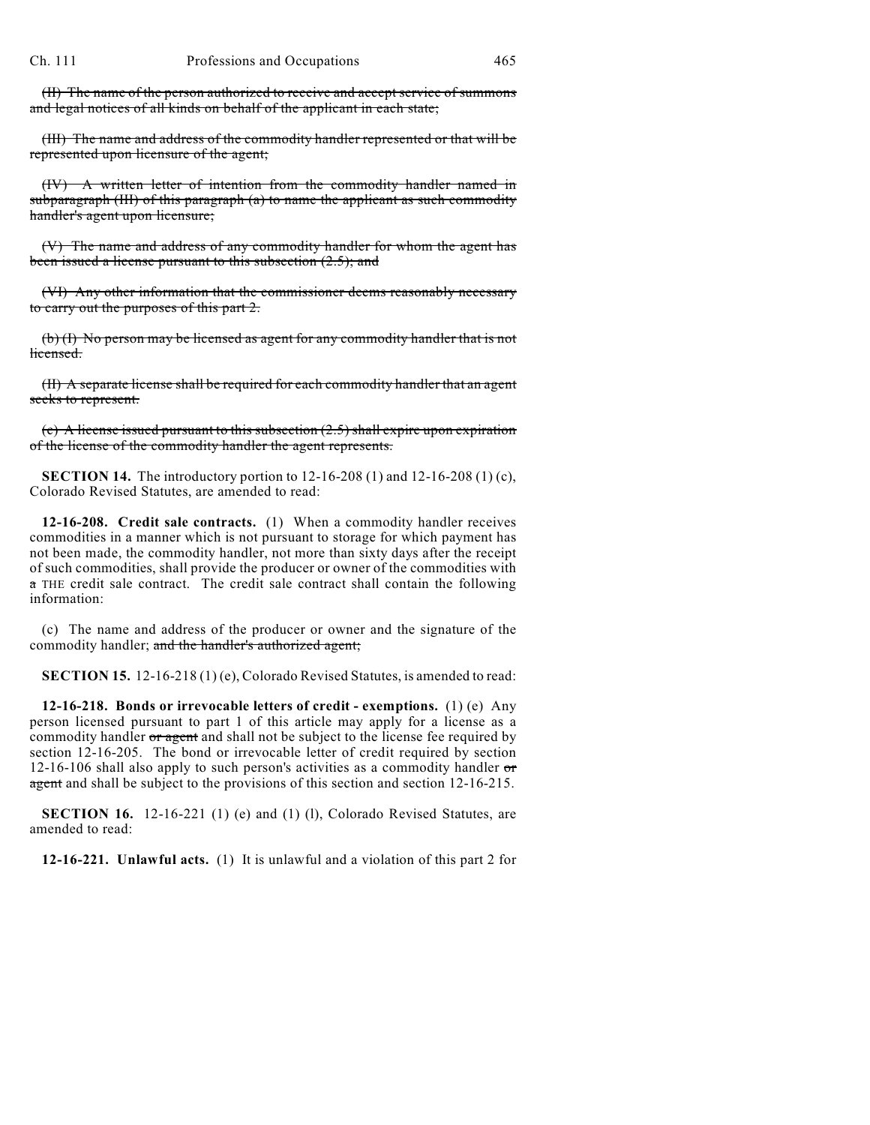(II) The name of the person authorized to receive and accept service of summons and legal notices of all kinds on behalf of the applicant in each state;

(III) The name and address of the commodity handler represented or that will be represented upon licensure of the agent;

(IV) A written letter of intention from the commodity handler named in subparagraph (III) of this paragraph (a) to name the applicant as such commodity handler's agent upon licensure;

(V) The name and address of any commodity handler for whom the agent has been issued a license pursuant to this subsection (2.5); and

(VI) Any other information that the commissioner deems reasonably necessary to carry out the purposes of this part 2.

(b) (I) No person may be licensed as agent for any commodity handler that is not licensed.

(II) A separate license shall be required for each commodity handler that an agent seeks to represent.

(c) A license issued pursuant to this subsection (2.5) shall expire upon expiration of the license of the commodity handler the agent represents.

**SECTION 14.** The introductory portion to 12-16-208 (1) and 12-16-208 (1) (c), Colorado Revised Statutes, are amended to read:

**12-16-208. Credit sale contracts.** (1) When a commodity handler receives commodities in a manner which is not pursuant to storage for which payment has not been made, the commodity handler, not more than sixty days after the receipt of such commodities, shall provide the producer or owner of the commodities with a THE credit sale contract. The credit sale contract shall contain the following information:

(c) The name and address of the producer or owner and the signature of the commodity handler; and the handler's authorized agent;

**SECTION 15.** 12-16-218 (1) (e), Colorado Revised Statutes, is amended to read:

**12-16-218. Bonds or irrevocable letters of credit - exemptions.** (1) (e) Any person licensed pursuant to part 1 of this article may apply for a license as a commodity handler or agent and shall not be subject to the license fee required by section 12-16-205. The bond or irrevocable letter of credit required by section 12-16-106 shall also apply to such person's activities as a commodity handler  $\sigma$ agent and shall be subject to the provisions of this section and section 12-16-215.

**SECTION 16.** 12-16-221 (1) (e) and (1) (l), Colorado Revised Statutes, are amended to read:

**12-16-221. Unlawful acts.** (1) It is unlawful and a violation of this part 2 for